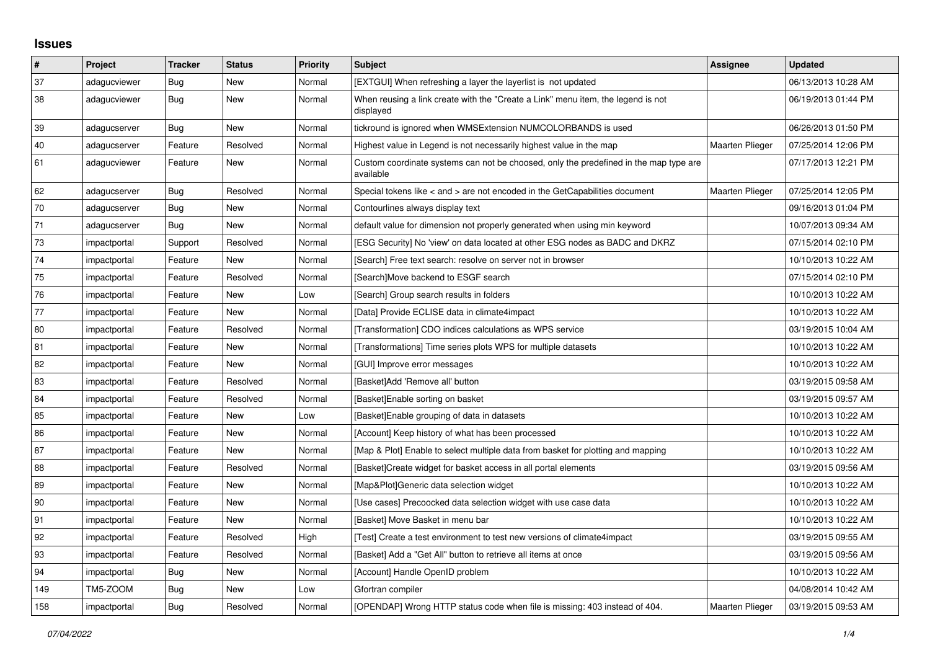## **Issues**

| $\pmb{\#}$ | Project      | <b>Tracker</b> | <b>Status</b> | <b>Priority</b> | <b>Subject</b>                                                                                     | Assignee               | <b>Updated</b>      |
|------------|--------------|----------------|---------------|-----------------|----------------------------------------------------------------------------------------------------|------------------------|---------------------|
| 37         | adagucviewer | <b>Bug</b>     | New           | Normal          | [EXTGUI] When refreshing a layer the layerlist is not updated                                      |                        | 06/13/2013 10:28 AM |
| 38         | adagucviewer | <b>Bug</b>     | <b>New</b>    | Normal          | When reusing a link create with the "Create a Link" menu item, the legend is not<br>displayed      |                        | 06/19/2013 01:44 PM |
| 39         | adagucserver | <b>Bug</b>     | New           | Normal          | tickround is ignored when WMSExtension NUMCOLORBANDS is used                                       |                        | 06/26/2013 01:50 PM |
| 40         | adagucserver | Feature        | Resolved      | Normal          | Highest value in Legend is not necessarily highest value in the map                                | Maarten Plieger        | 07/25/2014 12:06 PM |
| 61         | adagucviewer | Feature        | New           | Normal          | Custom coordinate systems can not be choosed, only the predefined in the map type are<br>available |                        | 07/17/2013 12:21 PM |
| 62         | adagucserver | <b>Bug</b>     | Resolved      | Normal          | Special tokens like $\lt$ and $\gt$ are not encoded in the GetCapabilities document                | <b>Maarten Plieger</b> | 07/25/2014 12:05 PM |
| 70         | adagucserver | Bug            | New           | Normal          | Contourlines always display text                                                                   |                        | 09/16/2013 01:04 PM |
| 71         | adagucserver | <b>Bug</b>     | <b>New</b>    | Normal          | default value for dimension not properly generated when using min keyword                          |                        | 10/07/2013 09:34 AM |
| 73         | impactportal | Support        | Resolved      | Normal          | [ESG Security] No 'view' on data located at other ESG nodes as BADC and DKRZ                       |                        | 07/15/2014 02:10 PM |
| 74         | impactportal | Feature        | New           | Normal          | [Search] Free text search: resolve on server not in browser                                        |                        | 10/10/2013 10:22 AM |
| 75         | impactportal | Feature        | Resolved      | Normal          | [Search]Move backend to ESGF search                                                                |                        | 07/15/2014 02:10 PM |
| 76         | impactportal | Feature        | New           | Low             | [Search] Group search results in folders                                                           |                        | 10/10/2013 10:22 AM |
| 77         | impactportal | Feature        | <b>New</b>    | Normal          | [Data] Provide ECLISE data in climate4impact                                                       |                        | 10/10/2013 10:22 AM |
| 80         | impactportal | Feature        | Resolved      | Normal          | [Transformation] CDO indices calculations as WPS service                                           |                        | 03/19/2015 10:04 AM |
| 81         | impactportal | Feature        | New           | Normal          | [Transformations] Time series plots WPS for multiple datasets                                      |                        | 10/10/2013 10:22 AM |
| 82         | impactportal | Feature        | <b>New</b>    | Normal          | [GUI] Improve error messages                                                                       |                        | 10/10/2013 10:22 AM |
| 83         | impactportal | Feature        | Resolved      | Normal          | [Basket]Add 'Remove all' button                                                                    |                        | 03/19/2015 09:58 AM |
| 84         | impactportal | Feature        | Resolved      | Normal          | [Basket]Enable sorting on basket                                                                   |                        | 03/19/2015 09:57 AM |
| 85         | impactportal | Feature        | New           | Low             | [Basket]Enable grouping of data in datasets                                                        |                        | 10/10/2013 10:22 AM |
| 86         | impactportal | Feature        | <b>New</b>    | Normal          | [Account] Keep history of what has been processed                                                  |                        | 10/10/2013 10:22 AM |
| 87         | impactportal | Feature        | <b>New</b>    | Normal          | [Map & Plot] Enable to select multiple data from basket for plotting and mapping                   |                        | 10/10/2013 10:22 AM |
| 88         | impactportal | Feature        | Resolved      | Normal          | [Basket]Create widget for basket access in all portal elements                                     |                        | 03/19/2015 09:56 AM |
| 89         | impactportal | Feature        | New           | Normal          | [Map&Plot]Generic data selection widget                                                            |                        | 10/10/2013 10:22 AM |
| 90         | impactportal | Feature        | New           | Normal          | [Use cases] Precoocked data selection widget with use case data                                    |                        | 10/10/2013 10:22 AM |
| 91         | impactportal | Feature        | New           | Normal          | [Basket] Move Basket in menu bar                                                                   |                        | 10/10/2013 10:22 AM |
| 92         | impactportal | Feature        | Resolved      | High            | [Test] Create a test environment to test new versions of climate4impact                            |                        | 03/19/2015 09:55 AM |
| 93         | impactportal | Feature        | Resolved      | Normal          | [Basket] Add a "Get All" button to retrieve all items at once                                      |                        | 03/19/2015 09:56 AM |
| 94         | impactportal | Bug            | New           | Normal          | [Account] Handle OpenID problem                                                                    |                        | 10/10/2013 10:22 AM |
| 149        | TM5-ZOOM     | <b>Bug</b>     | New           | Low             | Gfortran compiler                                                                                  |                        | 04/08/2014 10:42 AM |
| 158        | impactportal | <b>Bug</b>     | Resolved      | Normal          | [OPENDAP] Wrong HTTP status code when file is missing: 403 instead of 404.                         | Maarten Plieger        | 03/19/2015 09:53 AM |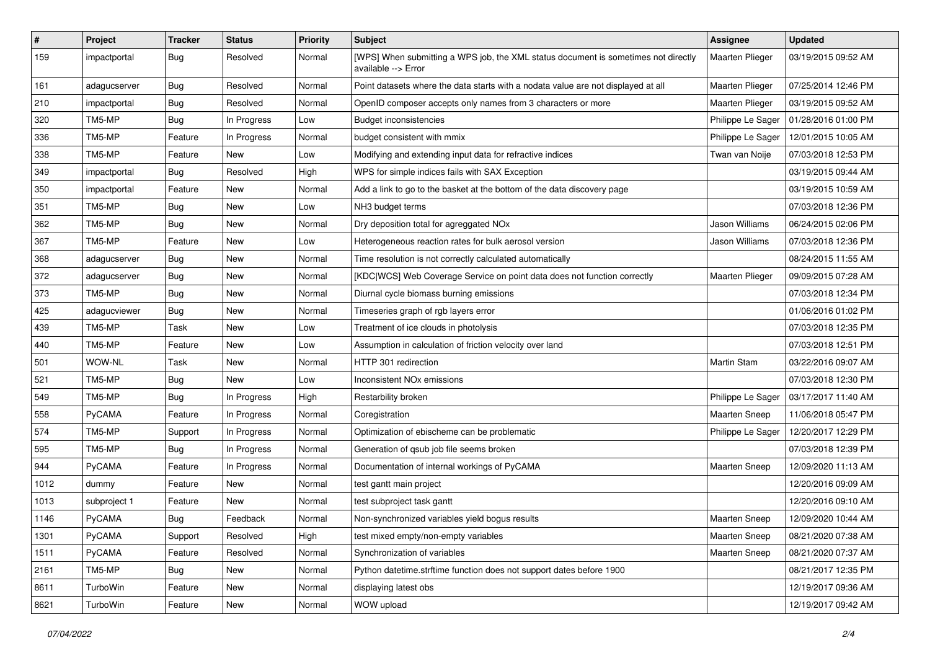| $\pmb{\#}$ | Project      | <b>Tracker</b> | <b>Status</b> | <b>Priority</b> | Subject                                                                                                   | Assignee             | <b>Updated</b>      |
|------------|--------------|----------------|---------------|-----------------|-----------------------------------------------------------------------------------------------------------|----------------------|---------------------|
| 159        | impactportal | <b>Bug</b>     | Resolved      | Normal          | [WPS] When submitting a WPS job, the XML status document is sometimes not directly<br>available --> Error | Maarten Plieger      | 03/19/2015 09:52 AM |
| 161        | adagucserver | <b>Bug</b>     | Resolved      | Normal          | Point datasets where the data starts with a nodata value are not displayed at all                         | Maarten Plieger      | 07/25/2014 12:46 PM |
| 210        | impactportal | Bug            | Resolved      | Normal          | OpenID composer accepts only names from 3 characters or more                                              | Maarten Plieger      | 03/19/2015 09:52 AM |
| 320        | TM5-MP       | Bug            | In Progress   | Low             | <b>Budget inconsistencies</b>                                                                             | Philippe Le Sager    | 01/28/2016 01:00 PM |
| 336        | TM5-MP       | Feature        | In Progress   | Normal          | budget consistent with mmix                                                                               | Philippe Le Sager    | 12/01/2015 10:05 AM |
| 338        | TM5-MP       | Feature        | <b>New</b>    | Low             | Modifying and extending input data for refractive indices                                                 | Twan van Noije       | 07/03/2018 12:53 PM |
| 349        | impactportal | <b>Bug</b>     | Resolved      | High            | WPS for simple indices fails with SAX Exception                                                           |                      | 03/19/2015 09:44 AM |
| 350        | impactportal | Feature        | New           | Normal          | Add a link to go to the basket at the bottom of the data discovery page                                   |                      | 03/19/2015 10:59 AM |
| 351        | TM5-MP       | Bug            | <b>New</b>    | Low             | NH3 budget terms                                                                                          |                      | 07/03/2018 12:36 PM |
| 362        | TM5-MP       | <b>Bug</b>     | <b>New</b>    | Normal          | Dry deposition total for agreggated NOx                                                                   | Jason Williams       | 06/24/2015 02:06 PM |
| 367        | TM5-MP       | Feature        | <b>New</b>    | Low             | Heterogeneous reaction rates for bulk aerosol version                                                     | Jason Williams       | 07/03/2018 12:36 PM |
| 368        | adagucserver | <b>Bug</b>     | New           | Normal          | Time resolution is not correctly calculated automatically                                                 |                      | 08/24/2015 11:55 AM |
| 372        | adagucserver | Bug            | New           | Normal          | [KDC WCS] Web Coverage Service on point data does not function correctly                                  | Maarten Plieger      | 09/09/2015 07:28 AM |
| 373        | TM5-MP       | Bug            | <b>New</b>    | Normal          | Diurnal cycle biomass burning emissions                                                                   |                      | 07/03/2018 12:34 PM |
| 425        | adagucviewer | <b>Bug</b>     | <b>New</b>    | Normal          | Timeseries graph of rgb layers error                                                                      |                      | 01/06/2016 01:02 PM |
| 439        | TM5-MP       | Task           | New           | Low             | Treatment of ice clouds in photolysis                                                                     |                      | 07/03/2018 12:35 PM |
| 440        | TM5-MP       | Feature        | <b>New</b>    | Low             | Assumption in calculation of friction velocity over land                                                  |                      | 07/03/2018 12:51 PM |
| 501        | WOW-NL       | Task           | <b>New</b>    | Normal          | HTTP 301 redirection                                                                                      | Martin Stam          | 03/22/2016 09:07 AM |
| 521        | TM5-MP       | Bug            | <b>New</b>    | Low             | Inconsistent NO <sub>x</sub> emissions                                                                    |                      | 07/03/2018 12:30 PM |
| 549        | TM5-MP       | <b>Bug</b>     | In Progress   | High            | Restarbility broken                                                                                       | Philippe Le Sager    | 03/17/2017 11:40 AM |
| 558        | PyCAMA       | Feature        | In Progress   | Normal          | Coregistration                                                                                            | Maarten Sneep        | 11/06/2018 05:47 PM |
| 574        | TM5-MP       | Support        | In Progress   | Normal          | Optimization of ebischeme can be problematic                                                              | Philippe Le Sager    | 12/20/2017 12:29 PM |
| 595        | TM5-MP       | Bug            | In Progress   | Normal          | Generation of qsub job file seems broken                                                                  |                      | 07/03/2018 12:39 PM |
| 944        | PyCAMA       | Feature        | In Progress   | Normal          | Documentation of internal workings of PyCAMA                                                              | <b>Maarten Sneep</b> | 12/09/2020 11:13 AM |
| 1012       | dummy        | Feature        | New           | Normal          | test gantt main project                                                                                   |                      | 12/20/2016 09:09 AM |
| 1013       | subproject 1 | Feature        | <b>New</b>    | Normal          | test subproject task gantt                                                                                |                      | 12/20/2016 09:10 AM |
| 1146       | PyCAMA       | Bug            | Feedback      | Normal          | Non-synchronized variables yield bogus results                                                            | <b>Maarten Sneep</b> | 12/09/2020 10:44 AM |
| 1301       | PyCAMA       | Support        | Resolved      | High            | test mixed empty/non-empty variables                                                                      | Maarten Sneep        | 08/21/2020 07:38 AM |
| 1511       | PyCAMA       | Feature        | Resolved      | Normal          | Synchronization of variables                                                                              | Maarten Sneep        | 08/21/2020 07:37 AM |
| 2161       | TM5-MP       | Bug            | New           | Normal          | Python datetime.strftime function does not support dates before 1900                                      |                      | 08/21/2017 12:35 PM |
| 8611       | TurboWin     | Feature        | New           | Normal          | displaying latest obs                                                                                     |                      | 12/19/2017 09:36 AM |
| 8621       | TurboWin     | Feature        | New           | Normal          | WOW upload                                                                                                |                      | 12/19/2017 09:42 AM |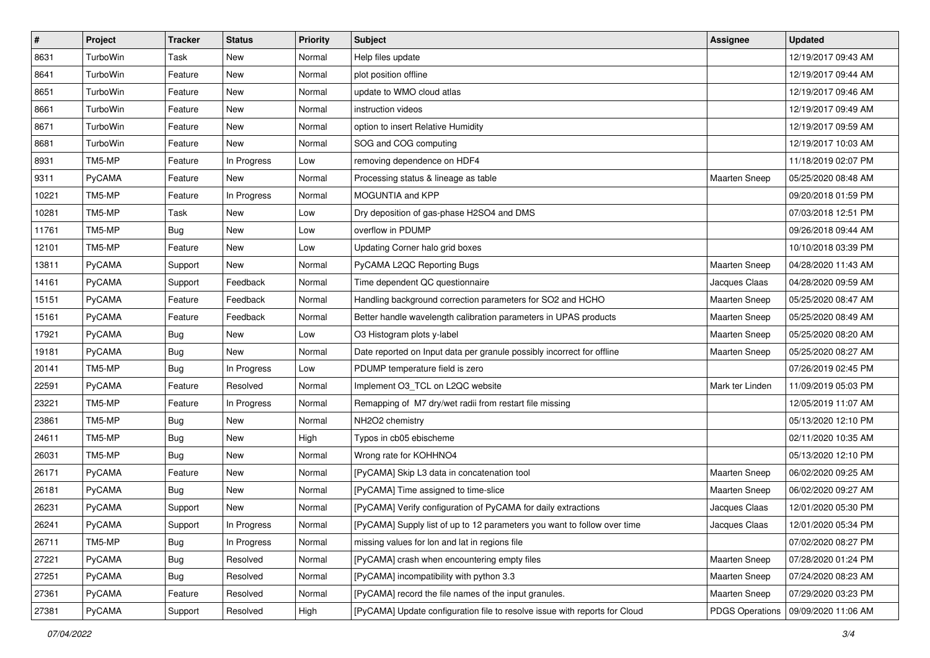| $\sharp$ | Project       | <b>Tracker</b> | <b>Status</b> | <b>Priority</b> | Subject                                                                    | <b>Assignee</b>      | <b>Updated</b>                        |
|----------|---------------|----------------|---------------|-----------------|----------------------------------------------------------------------------|----------------------|---------------------------------------|
| 8631     | TurboWin      | Task           | <b>New</b>    | Normal          | Help files update                                                          |                      | 12/19/2017 09:43 AM                   |
| 8641     | TurboWin      | Feature        | <b>New</b>    | Normal          | plot position offline                                                      |                      | 12/19/2017 09:44 AM                   |
| 8651     | TurboWin      | Feature        | New           | Normal          | update to WMO cloud atlas                                                  |                      | 12/19/2017 09:46 AM                   |
| 8661     | TurboWin      | Feature        | New           | Normal          | instruction videos                                                         |                      | 12/19/2017 09:49 AM                   |
| 8671     | TurboWin      | Feature        | <b>New</b>    | Normal          | option to insert Relative Humidity                                         |                      | 12/19/2017 09:59 AM                   |
| 8681     | TurboWin      | Feature        | New           | Normal          | SOG and COG computing                                                      |                      | 12/19/2017 10:03 AM                   |
| 8931     | TM5-MP        | Feature        | In Progress   | Low             | removing dependence on HDF4                                                |                      | 11/18/2019 02:07 PM                   |
| 9311     | <b>PyCAMA</b> | Feature        | New           | Normal          | Processing status & lineage as table                                       | <b>Maarten Sneep</b> | 05/25/2020 08:48 AM                   |
| 10221    | TM5-MP        | Feature        | In Progress   | Normal          | MOGUNTIA and KPP                                                           |                      | 09/20/2018 01:59 PM                   |
| 10281    | TM5-MP        | Task           | <b>New</b>    | Low             | Dry deposition of gas-phase H2SO4 and DMS                                  |                      | 07/03/2018 12:51 PM                   |
| 11761    | TM5-MP        | <b>Bug</b>     | New           | Low             | overflow in PDUMP                                                          |                      | 09/26/2018 09:44 AM                   |
| 12101    | TM5-MP        | Feature        | <b>New</b>    | Low             | Updating Corner halo grid boxes                                            |                      | 10/10/2018 03:39 PM                   |
| 13811    | <b>PyCAMA</b> | Support        | New           | Normal          | PyCAMA L2QC Reporting Bugs                                                 | Maarten Sneep        | 04/28/2020 11:43 AM                   |
| 14161    | PyCAMA        | Support        | Feedback      | Normal          | Time dependent QC questionnaire                                            | Jacques Claas        | 04/28/2020 09:59 AM                   |
| 15151    | <b>PyCAMA</b> | Feature        | Feedback      | Normal          | Handling background correction parameters for SO2 and HCHO                 | Maarten Sneep        | 05/25/2020 08:47 AM                   |
| 15161    | <b>PyCAMA</b> | Feature        | Feedback      | Normal          | Better handle wavelength calibration parameters in UPAS products           | Maarten Sneep        | 05/25/2020 08:49 AM                   |
| 17921    | PyCAMA        | Bug            | New           | Low             | O3 Histogram plots y-label                                                 | Maarten Sneep        | 05/25/2020 08:20 AM                   |
| 19181    | <b>PyCAMA</b> | <b>Bug</b>     | <b>New</b>    | Normal          | Date reported on Input data per granule possibly incorrect for offline     | Maarten Sneep        | 05/25/2020 08:27 AM                   |
| 20141    | TM5-MP        | <b>Bug</b>     | In Progress   | Low             | PDUMP temperature field is zero                                            |                      | 07/26/2019 02:45 PM                   |
| 22591    | PyCAMA        | Feature        | Resolved      | Normal          | Implement O3_TCL on L2QC website                                           | Mark ter Linden      | 11/09/2019 05:03 PM                   |
| 23221    | TM5-MP        | Feature        | In Progress   | Normal          | Remapping of M7 dry/wet radii from restart file missing                    |                      | 12/05/2019 11:07 AM                   |
| 23861    | TM5-MP        | Bug            | New           | Normal          | NH2O2 chemistry                                                            |                      | 05/13/2020 12:10 PM                   |
| 24611    | TM5-MP        | <b>Bug</b>     | <b>New</b>    | High            | Typos in cb05 ebischeme                                                    |                      | 02/11/2020 10:35 AM                   |
| 26031    | TM5-MP        | <b>Bug</b>     | New           | Normal          | Wrong rate for KOHHNO4                                                     |                      | 05/13/2020 12:10 PM                   |
| 26171    | PyCAMA        | Feature        | New           | Normal          | [PyCAMA] Skip L3 data in concatenation tool                                | Maarten Sneep        | 06/02/2020 09:25 AM                   |
| 26181    | <b>PyCAMA</b> | Bug            | New           | Normal          | [PyCAMA] Time assigned to time-slice                                       | Maarten Sneep        | 06/02/2020 09:27 AM                   |
| 26231    | PyCAMA        | Support        | New           | Normal          | [PyCAMA] Verify configuration of PyCAMA for daily extractions              | Jacques Claas        | 12/01/2020 05:30 PM                   |
| 26241    | PyCAMA        | Support        | In Progress   | Normal          | [PyCAMA] Supply list of up to 12 parameters you want to follow over time   | Jacques Claas        | 12/01/2020 05:34 PM                   |
| 26711    | TM5-MP        | Bug            | In Progress   | Normal          | missing values for lon and lat in regions file                             |                      | 07/02/2020 08:27 PM                   |
| 27221    | PyCAMA        | <b>Bug</b>     | Resolved      | Normal          | [PyCAMA] crash when encountering empty files                               | Maarten Sneep        | 07/28/2020 01:24 PM                   |
| 27251    | PyCAMA        | <b>Bug</b>     | Resolved      | Normal          | [PyCAMA] incompatibility with python 3.3                                   | Maarten Sneep        | 07/24/2020 08:23 AM                   |
| 27361    | PyCAMA        | Feature        | Resolved      | Normal          | [PyCAMA] record the file names of the input granules.                      | Maarten Sneep        | 07/29/2020 03:23 PM                   |
| 27381    | PyCAMA        | Support        | Resolved      | High            | [PyCAMA] Update configuration file to resolve issue with reports for Cloud |                      | PDGS Operations   09/09/2020 11:06 AM |